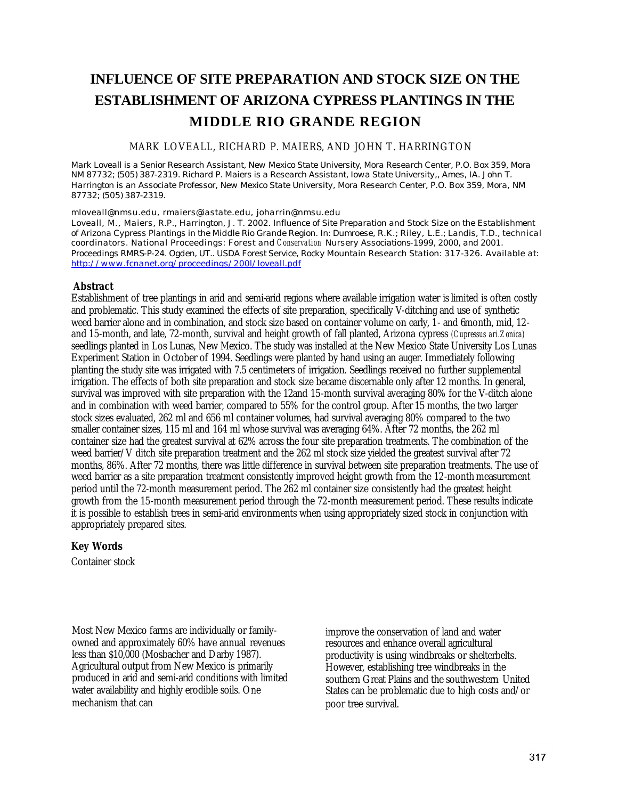# **INFLUENCE OF SITE PREPARATION AND STOCK SIZE ON THE ESTABLISHMENT OF ARIZONA CYPRESS PLANTINGS IN THE MIDDLE RIO GRANDE REGION**

## MARK LOVEALL, RICHARD P. MAIERS, AND JOHN T. HARRINGTON

*Mark Loveall is a Senior Research Assistant, New Mexico State University, Mora Research Center, P.O. Box 359, Mora NM 87732; (505) 387-2319. Richard P. Maiers is a Research Assistant, Iowa State University,, Ames, IA. John T. Harrington is an Associate Professor, New Mexico State University, Mora Research Center, P.O. Box 359, Mora, NM 87732; (505) 387-2319.*

*mloveall@nmsu.edu, rmaiers@iastate.edu, joharrin@nmsu.edu*

Loveall, M., Maiers, R.P., Harrington, J. T. 2002. Influence of Site Preparation and Stock Size on the Establishment *of Arizona Cypress Plantings in the Middle Rio Grande Region. In: Dumroese, R.K.; Riley, L.E.; Landis, T.D., technical coordinators. National Proceedings: Forest and Conservation Nursery Associations-1999, 2000, and 2001. Proceedings RMRS-P-24. Ogden, UT.. USDA Forest Service, Rocky Mountain Research Station: 317-326. Available at: http://www.fcnanet.org/proceedings/200l/loveall.pdf*

## **Abstract**

Establishment of tree plantings in arid and semi-arid regions where available irrigation water is limited is often costly and problematic. This study examined the effects of site preparation, specifically V-ditching and use of synthetic weed barrier alone and in combination, and stock size based on container volume on early, 1- and 6month, mid, 12 and 15-month, and late, 72-month, survival and height growth of fall planted, Arizona cypress *(Cupressus ari.Zonica)*  seedlings planted in Los Lunas, New Mexico. The study was installed at the New Mexico State University Los Lunas Experiment Station in October of 1994. Seedlings were planted by hand using an auger. Immediately following planting the study site was irrigated with 7.5 centimeters of irrigation. Seedlings received no further supplemental irrigation. The effects of both site preparation and stock size became discernable only after 12 months. In general, survival was improved with site preparation with the 12and 15-month survival averaging 80% for the V-ditch alone and in combination with weed barrier, compared to 55% for the control group. After 15 months, the two larger stock sizes evaluated, 262 ml and 656 ml container volumes, had survival averaging 80% compared to the two smaller container sizes, 115 ml and 164 ml whose survival was averaging 64%. After 72 months, the 262 ml container size had the greatest survival at 62% across the four site preparation treatments. The combination of the weed barrier/V ditch site preparation treatment and the 262 ml stock size yielded the greatest survival after 72 months, 86%. After 72 months, there was little difference in survival between site preparation treatments. The use of weed barrier as a site preparation treatment consistently improved height growth from the 12-month measurement period until the 72-month measurement period. The 262 ml container size consistently had the greatest height growth from the 15-month measurement period through the 72-month measurement period. These results indicate it is possible to establish trees in semi-arid environments when using appropriately sized stock in conjunction with appropriately prepared sites.

# **Key Words**

Container stock

Most New Mexico farms are individually or familyowned and approximately 60% have annual revenues less than \$10,000 (Mosbacher and Darby 1987). Agricultural output from New Mexico is primarily produced in arid and semi-arid conditions with limited water availability and highly erodible soils. One mechanism that can

improve the conservation of land and water resources and enhance overall agricultural productivity is using windbreaks or shelterbelts. However, establishing tree windbreaks in the southern Great Plains and the southwestern United States can be problematic due to high costs and/or poor tree survival.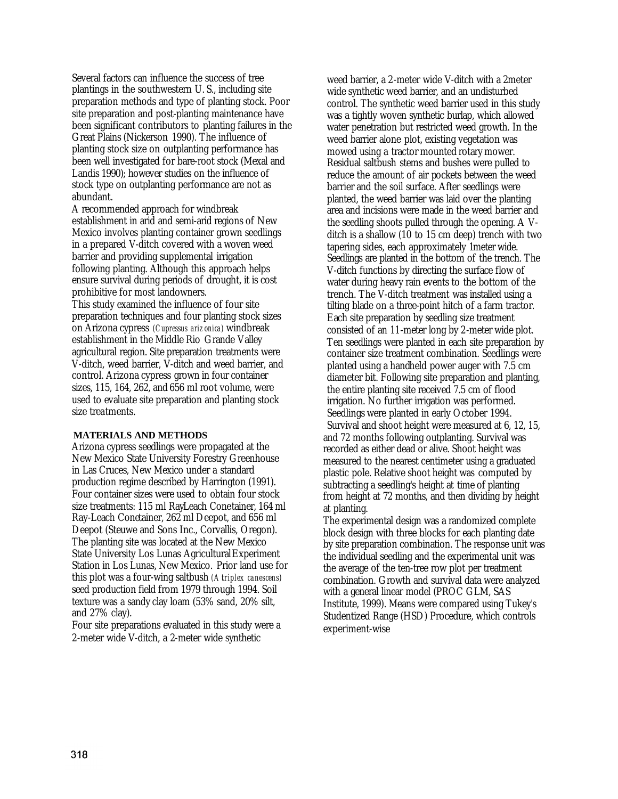Several factors can influence the success of tree plantings in the southwestern U. S., including site preparation methods and type of planting stock. Poor site preparation and post-planting maintenance have been significant contributors to planting failures in the Great Plains (Nickerson 1990). The influence of planting stock size on outplanting performance has been well investigated for bare-root stock (Mexal and Landis 1990); however studies on the influence of stock type on outplanting performance are not as abundant.

A recommended approach for windbreak establishment in arid and semi-arid regions of New Mexico involves planting container grown seedlings in a prepared V-ditch covered with a woven weed barrier and providing supplemental irrigation following planting. Although this approach helps ensure survival during periods of drought, it is cost prohibitive for most landowners.

This study examined the influence of four site preparation techniques and four planting stock sizes on Arizona cypress *(Cupressus arizonica)* windbreak establishment in the Middle Rio Grande Valley agricultural region. Site preparation treatments were V-ditch, weed barrier, V-ditch and weed barrier, and control. Arizona cypress grown in four container sizes, 115, 164, 262, and 656 ml root volume, were used to evaluate site preparation and planting stock size treatments.

#### **MATERIALS AND METHODS**

Arizona cypress seedlings were propagated at the New Mexico State University Forestry Greenhouse in Las Cruces, New Mexico under a standard production regime described by Harrington (1991). Four container sizes were used to obtain four stock size treatments: 115 ml RayLeach Conetainer, 164 ml Ray-Leach Conetainer, 262 ml Deepot, and 656 ml Deepot (Steuwe and Sons Inc., Corvallis, Oregon). The planting site was located at the New Mexico State University Los Lunas Agricultural Experiment Station in Los Lunas, New Mexico. Prior land use for this plot was a four-wing saltbush *(Atriplex canescens)*  seed production field from 1979 through 1994. Soil texture was a sandy clay loam (53% sand, 20% silt, and 27% clay).

Four site preparations evaluated in this study were a 2-meter wide V-ditch, a 2-meter wide synthetic

weed barrier, a 2-meter wide V-ditch with a 2meter wide synthetic weed barrier, and an undisturbed control. The synthetic weed barrier used in this study was a tightly woven synthetic burlap, which allowed water penetration but restricted weed growth. In the weed barrier alone plot, existing vegetation was mowed using a tractor mounted rotary mower. Residual saltbush stems and bushes were pulled to reduce the amount of air pockets between the weed barrier and the soil surface. After seedlings were planted, the weed barrier was laid over the planting area and incisions were made in the weed barrier and the seedling shoots pulled through the opening. A Vditch is a shallow (10 to 15 cm deep) trench with two tapering sides, each approximately 1meter wide. Seedlings are planted in the bottom of the trench. The V-ditch functions by directing the surface flow of water during heavy rain events to the bottom of the trench. The V-ditch treatment was installed using a tilting blade on a three-point hitch of a farm tractor. Each site preparation by seedling size treatment consisted of an 11-meter long by 2-meter wide plot. Ten seedlings were planted in each site preparation by container size treatment combination. Seedlings were planted using a handheld power auger with 7.5 cm diameter bit. Following site preparation and planting, the entire planting site received 7.5 cm of flood irrigation. No further irrigation was performed. Seedlings were planted in early October 1994. Survival and shoot height were measured at 6, 12, 15, and 72 months following outplanting. Survival was recorded as either dead or alive. Shoot height was measured to the nearest centimeter using a graduated plastic pole. Relative shoot height was computed by subtracting a seedling's height at time of planting from height at 72 months, and then dividing by height at planting.

The experimental design was a randomized complete block design with three blocks for each planting date by site preparation combination. The response unit was the individual seedling and the experimental unit was the average of the ten-tree row plot per treatment combination. Growth and survival data were analyzed with a general linear model (PROC GLM, SAS Institute, 1999). Means were compared using Tukey's Studentized Range (HSD) Procedure, which controls experiment-wise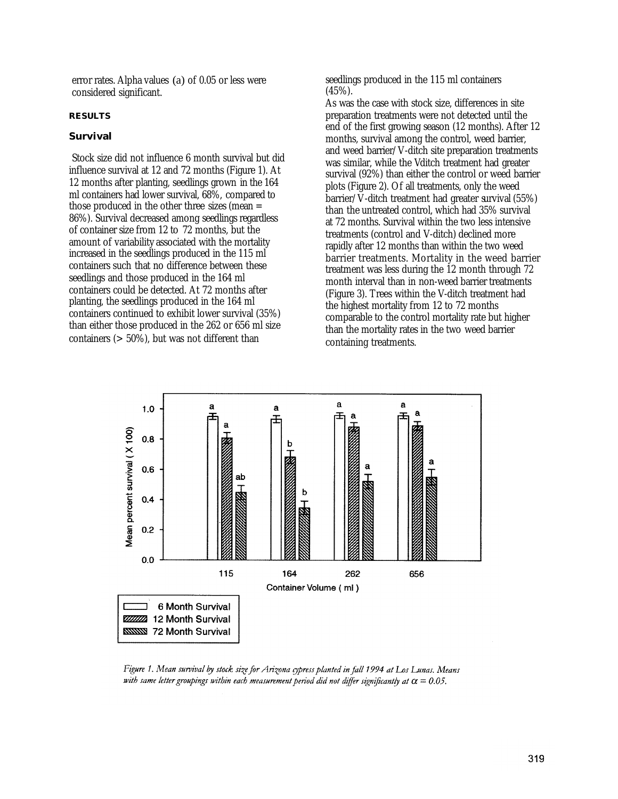error rates. Alpha values (a) of 0.05 or less were considered significant.

#### **RESULTS**

### **Survival**

Stock size did not influence 6 month survival but did influence survival at 12 and 72 months (Figure 1). At 12 months after planting, seedlings grown in the 164 ml containers had lower survival, 68%, compared to those produced in the other three sizes (mean = 86%). Survival decreased among seedlings regardless of container size from 12 to 72 months, but the amount of variability associated with the mortality increased in the seedlings produced in the 115 ml containers such that no difference between these seedlings and those produced in the 164 ml containers could be detected. At 72 months after planting, the seedlings produced in the 164 ml containers continued to exhibit lower survival (35%) than either those produced in the 262 or 656 ml size containers (> 50%), but was not different than

seedlings produced in the 115 ml containers (45%).

As was the case with stock size, differences in site preparation treatments were not detected until the end of the first growing season (12 months). After 12 months, survival among the control, weed barrier, and weed barrier/V-ditch site preparation treatments was similar, while the Vditch treatment had greater survival (92%) than either the control or weed barrier plots (Figure 2). Of all treatments, only the weed barrier/V-ditch treatment had greater survival (55%) than the untreated control, which had 35% survival at 72 months. Survival within the two less intensive treatments (control and V-ditch) declined more rapidly after 12 months than within the two weed barrier treatments. Mortality in the weed barrier treatment was less during the 12 month through 72 month interval than in non-weed barrier treatments (Figure 3). Trees within the V-ditch treatment had the highest mortality from 12 to 72 months comparable to the control mortality rate but higher than the mortality rates in the two weed barrier containing treatments.



Figure 1. Mean survival by stock size for Arizona cypress planted in fall 1994 at Los Lunas. Means with same letter groupings within each measurement period did not differ significantly at  $\alpha = 0.05$ .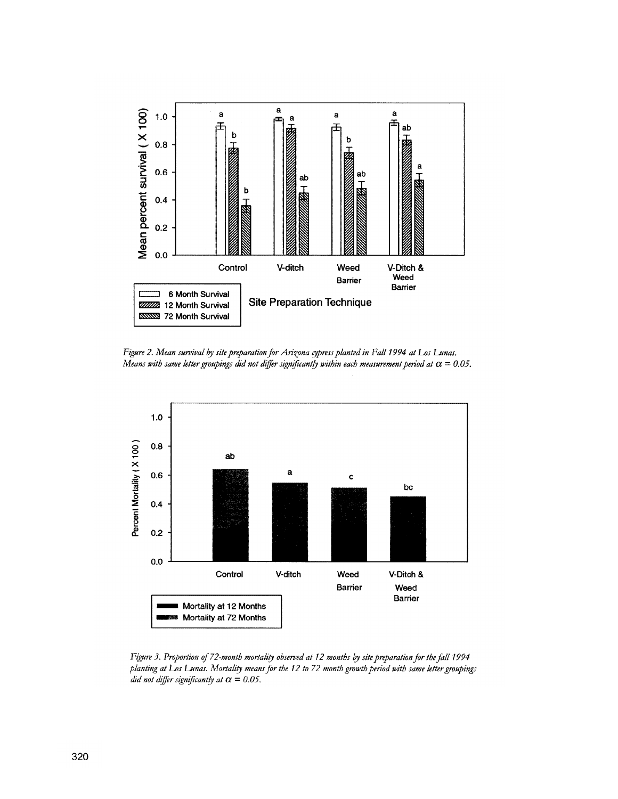

Figure 2. Mean survival by site preparation for Arizona cypress planted in Fall 1994 at Los Lunas. Means with same letter groupings did not differ significantly within each measurement period at  $\alpha = 0.05$ .



Figure 3. Proportion of 72-month mortality observed at 12 months by site preparation for the fall 1994 planting at Los Lunas. Mortality means for the 12 to 72 month growth period with same letter groupings did not differ significantly at  $\alpha = 0.05$ .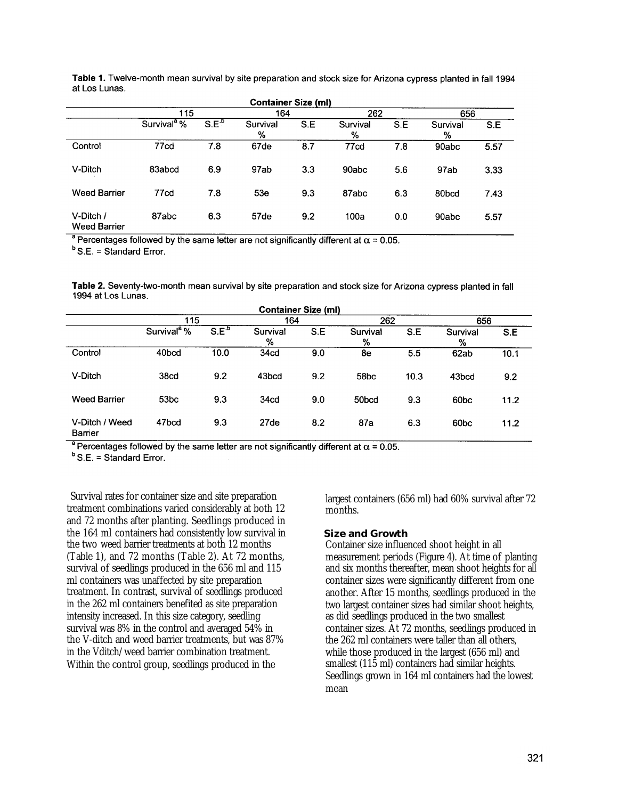| <b>Container Size (ml)</b>       |                         |           |                 |     |               |     |               |      |
|----------------------------------|-------------------------|-----------|-----------------|-----|---------------|-----|---------------|------|
|                                  | 115                     |           | 164             |     | 262           |     | 656           |      |
|                                  | Survival <sup>a</sup> % | $S.E^{b}$ | Survival<br>%   | S.E | Survival<br>% | S.E | Survival<br>% | S.E  |
| Control                          | 77cd                    | 7.8       | 67de            | 8.7 | 77cd          | 7.8 | 90abc         | 5.57 |
| V-Ditch                          | 83abcd                  | 6.9       | 97ab            | 3.3 | 90abc         | 5.6 | 97ab          | 3.33 |
| <b>Weed Barrier</b>              | 77 <sub>cd</sub>        | 7.8       | 53 <sub>e</sub> | 9.3 | 87abc         | 6.3 | 80bcd         | 7.43 |
| V-Ditch /<br><b>Weed Barrier</b> | 87abc                   | 6.3       | 57de            | 9.2 | 100a          | 0.0 | 90abc         | 5.57 |

Table 1. Twelve-month mean survival by site preparation and stock size for Arizona cypress planted in fall 1994 at Los Lunas.

<sup>a</sup> Percentages followed by the same letter are not significantly different at  $\alpha$  = 0.05.

 $b$  S.E. = Standard Error.

Table 2. Seventy-two-month mean survival by site preparation and stock size for Arizona cypress planted in fall 1994 at Los Lunas.

| <b>Container Size (ml)</b> |                         |         |                  |     |                  |      |                  |      |
|----------------------------|-------------------------|---------|------------------|-----|------------------|------|------------------|------|
|                            | 115                     |         | 164              |     | 262              |      | 656              |      |
|                            | Survival <sup>ª</sup> % | $S.E^b$ | Survival<br>%    | S.E | Survival<br>%    | S.E  | Survival<br>%    | S.E  |
| Control                    | 40bcd                   | 10.0    | 34cd             | 9.0 | 8e               | 5.5  | 62ab             | 10.1 |
| V-Ditch                    | 38 <sub>cd</sub>        | 9.2     | 43bcd            | 9.2 | 58 <sub>bc</sub> | 10.3 | 43bcd            | 9.2  |
| <b>Weed Barrier</b>        | 53 <sub>bc</sub>        | 9.3     | 34cd             | 9.0 | 50bcd            | 9.3  | 60 <sub>bc</sub> | 11.2 |
| V-Ditch / Weed<br>Barrier  | 47bcd                   | 9.3     | 27 <sub>de</sub> | 8.2 | 87a              | 6.3  | 60 <sub>bc</sub> | 11.2 |

<sup>a</sup> Percentages followed by the same letter are not significantly different at  $\alpha$  = 0.05.

 $B$  S.E. = Standard Error.

Survival rates for container size and site preparation treatment combinations varied considerably at both 12 and 72 months after planting. Seedlings produced in the 164 ml containers had consistently low survival in the two weed barrier treatments at both 12 months (Table 1), and 72 months (Table 2). At 72 months, survival of seedlings produced in the 656 ml and 115 ml containers was unaffected by site preparation treatment. In contrast, survival of seedlings produced in the 262 ml containers benefited as site preparation intensity increased. In this size category, seedling survival was 8% in the control and averaged 54% in the V-ditch and weed barrier treatments, but was 87% in the Vditch/weed barrier combination treatment. Within the control group, seedlings produced in the

largest containers (656 ml) had 60% survival after 72 months.

#### **Size and Growth**

Container size influenced shoot height in all measurement periods (Figure 4). At time of planting and six months thereafter, mean shoot heights for all container sizes were significantly different from one another. After 15 months, seedlings produced in the two largest container sizes had similar shoot heights, as did seedlings produced in the two smallest container sizes. At 72 months, seedlings produced in the 262 ml containers were taller than all others, while those produced in the largest (656 ml) and smallest (115 ml) containers had similar heights. Seedlings grown in 164 ml containers had the lowest mean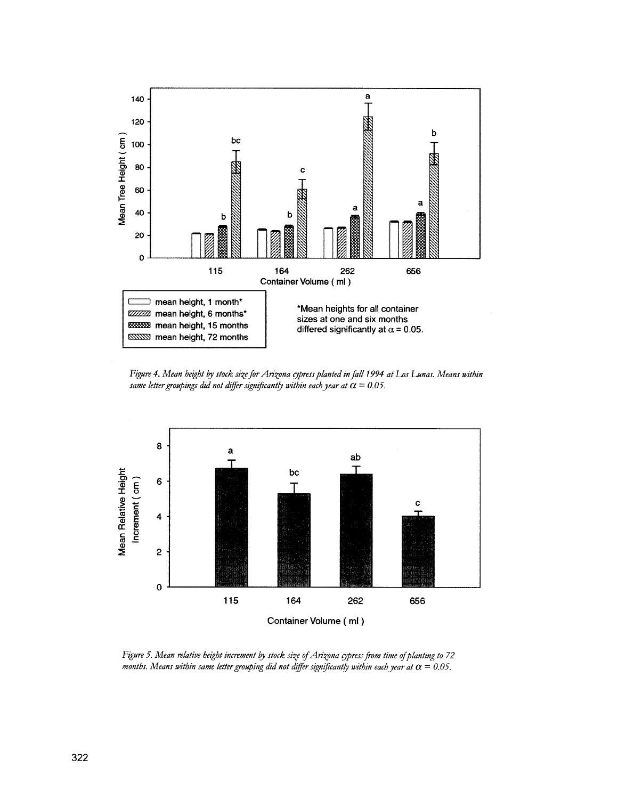

Figure 4. Mean height by stock size for Arizona cypress planted in fall 1994 at Los Lunas. Means within same letter groupings did not differ significantly within each year at  $\alpha = 0.05$ .



Figure 5. Mean relative height increment by stock size of Arizona cypress from time of planting to 72 months. Means within same letter grouping did not differ significantly within each year at  $\alpha = 0.05$ .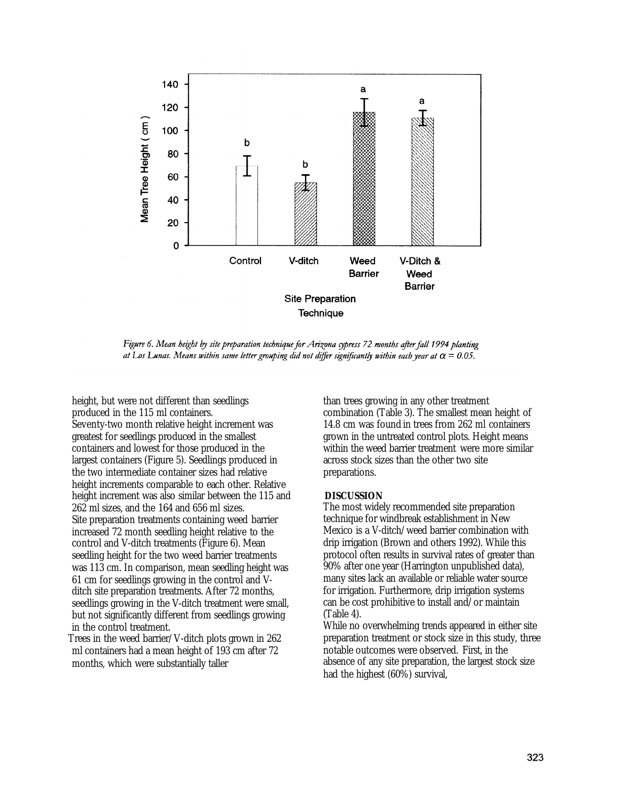

Figure 6. Mean height by site preparation technique for Arizona cypress 72 months after fall 1994 planting at Los Lunas. Means within same letter grouping did not differ significantly within each year at  $\alpha = 0.05$ .

height, but were not different than seedlings produced in the 115 ml containers. Seventy-two month relative height increment was greatest for seedlings produced in the smallest containers and lowest for those produced in the largest containers (Figure 5). Seedlings produced in the two intermediate container sizes had relative height increments comparable to each other. Relative height increment was also similar between the 115 and 262 ml sizes, and the 164 and 656 ml sizes. Site preparation treatments containing weed barrier increased 72 month seedling height relative to the control and V-ditch treatments (Figure 6). Mean seedling height for the two weed barrier treatments was 113 cm. In comparison, mean seedling height was 61 cm for seedlings growing in the control and Vditch site preparation treatments. After 72 months, seedlings growing in the V-ditch treatment were small, but not significantly different from seedlings growing in the control treatment.

Trees in the weed barrier/V-ditch plots grown in 262 ml containers had a mean height of 193 cm after 72 months, which were substantially taller

than trees growing in any other treatment combination (Table 3). The smallest mean height of 14.8 cm was found in trees from 262 ml containers grown in the untreated control plots. Height means within the weed barrier treatment were more similar across stock sizes than the other two site preparations.

#### **DISCUSSION**

The most widely recommended site preparation technique for windbreak establishment in New Mexico is a V-ditch/weed barrier combination with drip irrigation (Brown and others 1992). While this protocol often results in survival rates of greater than 90% after one year (Harrington unpublished data), many sites lack an available or reliable water source for irrigation. Furthermore, drip irrigation systems can be cost prohibitive to install and/or maintain (Table 4).

While no overwhelming trends appeared in either site preparation treatment or stock size in this study, three notable outcomes were observed. First, in the absence of any site preparation, the largest stock size had the highest (60%) survival,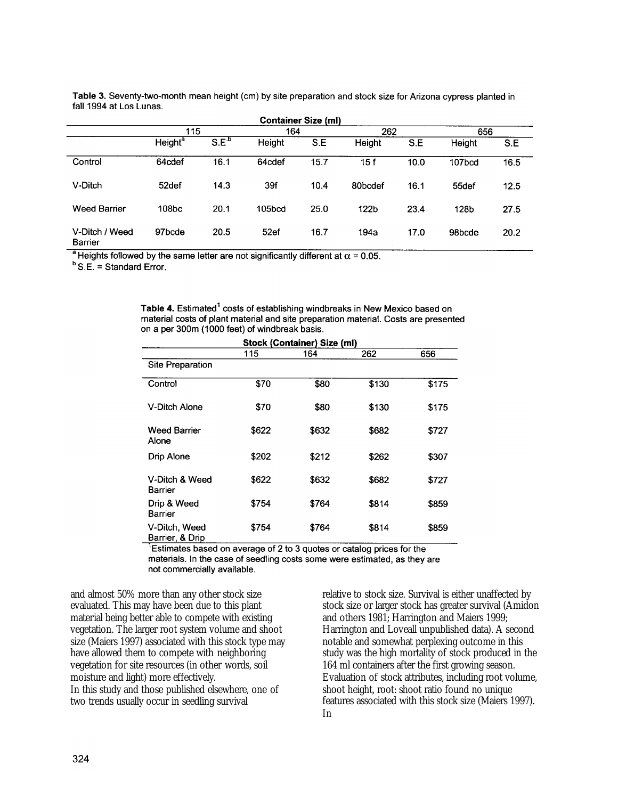| .                         |                           |                  |        |                            |         |      |        |      |
|---------------------------|---------------------------|------------------|--------|----------------------------|---------|------|--------|------|
|                           |                           |                  |        | <b>Container Size (ml)</b> |         |      |        |      |
|                           | 115                       |                  | 164    |                            | 262     |      | 656    |      |
|                           | <b>Height<sup>a</sup></b> | S.E <sup>b</sup> | Height | S.E                        | Height  | S.E  | Height | S.E  |
| Control                   | 64cdef                    | 16.1             | 64cdef | 15.7                       | 15f     | 10.0 | 107bcd | 16.5 |
| V-Ditch                   | 52def                     | 14.3             | 39f    | 10.4                       | 80bcdef | 16.1 | 55def  | 12.5 |
| <b>Weed Barrier</b>       | 108bc                     | 20.1             | 105bcd | 25.0                       | 122b    | 23.4 | 128b   | 27.5 |
| V-Ditch / Weed<br>Barrier | 97bcde                    | 20.5             | 52ef   | 16.7                       | 194a    | 17.0 | 98bcde | 20.2 |

Table 3. Seventy-two-month mean height (cm) by site preparation and stock size for Arizona cypress planted in fall 1994 at Los Lunas.

<sup>a</sup> Heights followed by the same letter are not significantly different at  $\alpha$  = 0.05.

 $B$  S.E. = Standard Error.

Table 4. Estimated<sup>1</sup> costs of establishing windbreaks in New Mexico based on material costs of plant material and site preparation material. Costs are presented on a per 300m (1000 feet) of windbreak basis.

| Stock (Container) Size (ml)      |       |       |       |       |  |  |  |  |
|----------------------------------|-------|-------|-------|-------|--|--|--|--|
|                                  | 115   | 164   | 262   | 656   |  |  |  |  |
| <b>Site Preparation</b>          |       |       |       |       |  |  |  |  |
| Control                          | \$70  | \$80  | \$130 | \$175 |  |  |  |  |
| V-Ditch Alone                    | \$70  | \$80  | \$130 | \$175 |  |  |  |  |
| <b>Weed Barrier</b><br>Alone     | \$622 | \$632 | \$682 | \$727 |  |  |  |  |
| <b>Drip Alone</b>                | \$202 | \$212 | \$262 | \$307 |  |  |  |  |
| V-Ditch & Weed<br>Barrier        | \$622 | \$632 | \$682 | \$727 |  |  |  |  |
| Drip & Weed<br><b>Barrier</b>    | \$754 | \$764 | \$814 | \$859 |  |  |  |  |
| V-Ditch, Weed<br>Barrier, & Drip | \$754 | \$764 | \$814 | \$859 |  |  |  |  |

<sup>1</sup>Estimates based on average of 2 to 3 quotes or catalog prices for the

materials. In the case of seedling costs some were estimated, as they are not commercially available.

and almost 50% more than any other stock size evaluated. This may have been due to this plant material being better able to compete with existing vegetation. The larger root system volume and shoot size (Maiers 1997) associated with this stock type may have allowed them to compete with neighboring vegetation for site resources (in other words, soil moisture and light) more effectively. In this study and those published elsewhere, one of two trends usually occur in seedling survival

relative to stock size. Survival is either unaffected by stock size or larger stock has greater survival (Amidon and others 1981; Harrington and Maiers 1999; Harrington and Loveall unpublished data). A second notable and somewhat perplexing outcome in this study was the high mortality of stock produced in the 164 ml containers after the first growing season. Evaluation of stock attributes, including root volume, shoot height, root: shoot ratio found no unique features associated with this stock size (Maiers 1997). **In**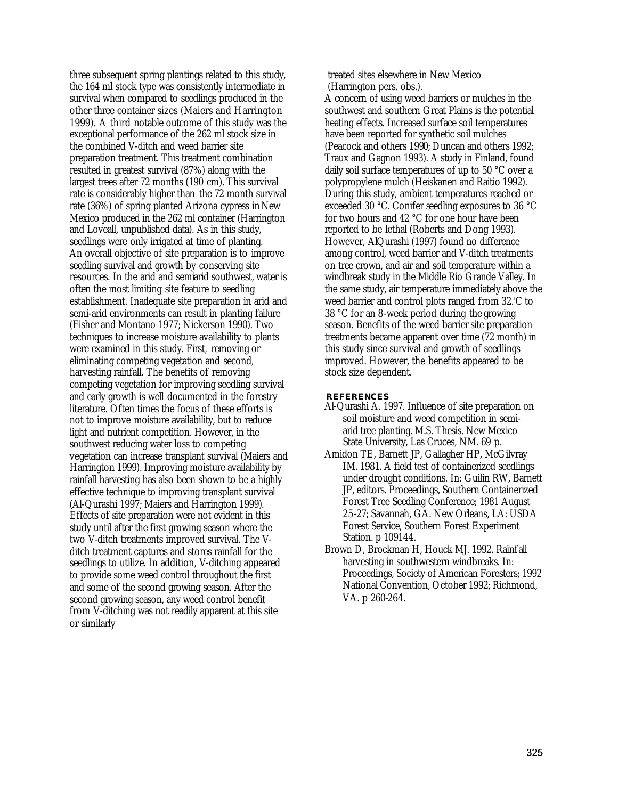three subsequent spring plantings related to this study, the 164 ml stock type was consistently intermediate in survival when compared to seedlings produced in the other three container sizes (Maiers and Harrington 1999). A third notable outcome of this study was the exceptional performance of the 262 ml stock size in the combined V-ditch and weed barrier site preparation treatment. This treatment combination resulted in greatest survival (87%) along with the largest trees after 72 months (190 cm). This survival rate is considerably higher than the 72 month survival rate (36%) of spring planted Arizona cypress in New Mexico produced in the 262 ml container (Harrington and Loveall, unpublished data). As in this study, seedlings were only irrigated at time of planting. An overall objective of site preparation is to improve seedling survival and growth by conserving site resources. In the arid and semiarid southwest, water is often the most limiting site feature to seedling establishment. Inadequate site preparation in arid and semi-arid environments can result in planting failure (Fisher and Montano 1977; Nickerson 1990). Two techniques to increase moisture availability to plants were examined in this study. First, removing or eliminating competing vegetation and second, harvesting rainfall. The benefits of removing competing vegetation for improving seedling survival and early growth is well documented in the forestry literature. Often times the focus of these efforts is not to improve moisture availability, but to reduce light and nutrient competition. However, in the southwest reducing water loss to competing vegetation can increase transplant survival (Maiers and Harrington 1999). Improving moisture availability by rainfall harvesting has also been shown to be a highly effective technique to improving transplant survival (Al-Qurashi 1997; Maiers and Harrington 1999). Effects of site preparation were not evident in this study until after the first growing season where the two V-ditch treatments improved survival. The Vditch treatment captures and stores rainfall for the seedlings to utilize. In addition, V-ditching appeared to provide some weed control throughout the first and some of the second growing season. After the second growing season, any weed control benefit from V-ditching was not readily apparent at this site or similarly

treated sites elsewhere in New Mexico (Harrington pers. obs.).

A concern of using weed barriers or mulches in the southwest and southern Great Plains is the potential heating effects. Increased surface soil temperatures have been reported for synthetic soil mulches (Peacock and others 1990; Duncan and others 1992; Traux and Gagnon 1993). A study in Finland, found daily soil surface temperatures of up to 50 °C over a polypropylene mulch (Heiskanen and Raitio 1992). During this study, ambient temperatures reached or exceeded 30 °C. Conifer seedling exposures to 36 °C for two hours and 42 °C for one hour have been reported to be lethal (Roberts and Dong 1993). However, AlQurashi (1997) found no difference among control, weed barrier and V-ditch treatments on tree crown, and air and soil temperature within a windbreak study in the Middle Rio Grande Valley. In the same study, air temperature immediately above the weed barrier and control plots ranged from 32.'C to 38 °C for an 8-week period during the growing season. Benefits of the weed barrier site preparation treatments became apparent over time (72 month) in this study since survival and growth of seedlings improved. However, the benefits appeared to be stock size dependent.

#### **REFERENCES**

- Al-Qurashi A. 1997. Influence of site preparation on soil moisture and weed competition in semiarid tree planting. M.S. Thesis. New Mexico State University, Las Cruces, NM. 69 p.
- Amidon TE, Barnett JP, Gallagher HP, McGilvray IM. 1981. A field test of containerized seedlings under drought conditions. In: Guilin RW, Barnett JP, editors. Proceedings, Southern Containerized Forest Tree Seedling Conference; 1981 August 25-27; Savannah, GA. New Orleans, LA: USDA Forest Service, Southern Forest Experiment Station. p 109144.
- Brown D, Brockman H, Houck MJ. 1992. Rainfall harvesting in southwestern windbreaks. In: Proceedings, Society of American Foresters; 1992 National Convention, October 1992; Richmond, VA. p 260-264.